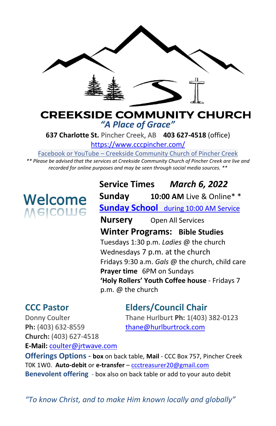

## **CREEKSIDE COMMUNITY CHURCH** *"A Place of Grace"*

**637 Charlotte St.** Pincher Creek, AB **403 627-4518** (office)

<https://www.cccpincher.com/>

Facebook or YouTube – Creekside Community Church of Pincher Creek

*\*\* Please be advised that the services at Creekside Community Church of Pincher Creek are live and recorded for online purposes and may be seen through social media sources. \*\**

# **Welcome**<br>Melcolue

**Service Times** *March 6, 2022* **Sunday 10:00 AM** Live & Online\* \* **Sunday School** during 10:00 AM Service **Nursery** Open All Services **Winter Programs: Bible Studies** Tuesdays 1:30 p.m. *Ladies* @ the church Wednesdays 7 p.m. at the church Fridays 9:30 a.m. *Gals* @ the church, child care **Prayer time** 6PM on Sundays **'Holy Rollers' Youth Coffee house** - Fridays 7 p.m. @ the church

# **CCC Pastor Elders/Council Chair**

Donny Coulter Thane Hurlburt **Ph:** 1(403) 382-0123

Ph: (403) 632-8559 [thane@hurlburtrock.com](mailto:thane@hurlburtrock.com) **Church:** (403) 627-4518 **E-Mail:** [coulter@jrtwave.com](mailto:coulter@jrtwave.com)

**Offerings Options - box** on back table, **Mail** - CCC Box 757, Pincher Creek T0K 1W0. **Auto-debit** or **e-transfer** – [ccctreasurer20@gmail.com](mailto:ccctreasurer20@gmail.com) **Benevolent offering** - box also on back table or add to your auto debit

*"To know Christ, and to make Him known locally and globally"*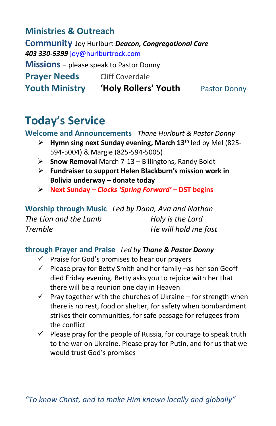# **Ministries & Outreach**

**Community** Joy Hurlburt *Deacon, Congregational Care 403 330-5399* [joy@hurlburtrock.com](mailto:joy@hurlburtrock.com) **Missions** – please speak to Pastor Donny **Prayer Needs** Cliff Coverdale **Youth Ministry 'Holy Rollers' Youth** Pastor Donny

# **Today's Service**

**Welcome and Announcements** *Thane Hurlburt & Pastor Donny*

- ➢ **Hymn sing next Sunday evening, March 13th** led by Mel (825- 594-5004) & Margie (825-594-5005)
- ➢ **Snow Removal** March 7-13 Billingtons, Randy Boldt
- ➢ **Fundraiser to support Helen Blackburn's mission work in Bolivia underway – donate today**
- ➢ **Next Sunday –** *Clocks 'Spring Forward'* **– DST begins**

|                       | Worship through Music Led by Dana, Ava and Nathan |
|-----------------------|---------------------------------------------------|
| The Lion and the Lamb | Holy is the Lord                                  |
| Tremble               | He will hold me fast                              |

#### **through Prayer and Praise** *Led by Thane & Pastor Donny*

- $\checkmark$  Praise for God's promises to hear our prayers
- $\checkmark$  Please pray for Betty Smith and her family –as her son Geoff died Friday evening. Betty asks you to rejoice with her that there will be a reunion one day in Heaven
- $\checkmark$  Pray together with the churches of Ukraine for strength when there is no rest, food or shelter, for safety when bombardment strikes their communities, for safe passage for refugees from the conflict
- $\checkmark$  Please pray for the people of Russia, for courage to speak truth to the war on Ukraine. Please pray for Putin, and for us that we would trust God's promises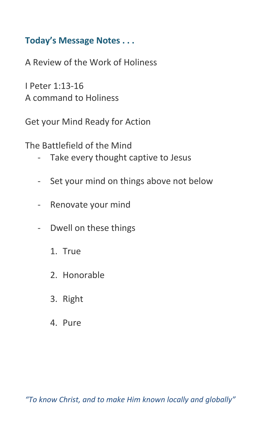# **Today's Message Notes . . .**

A Review of the Work of Holiness

I Peter 1:13-16 A command to Holiness

Get your Mind Ready for Action

The Battlefield of the Mind

- Take every thought captive to Jesus
- Set your mind on things above not below
- Renovate your mind
- Dwell on these things
	- 1. True
	- 2. Honorable
	- 3. Right
	- 4. Pure

*"To know Christ, and to make Him known locally and globally"*